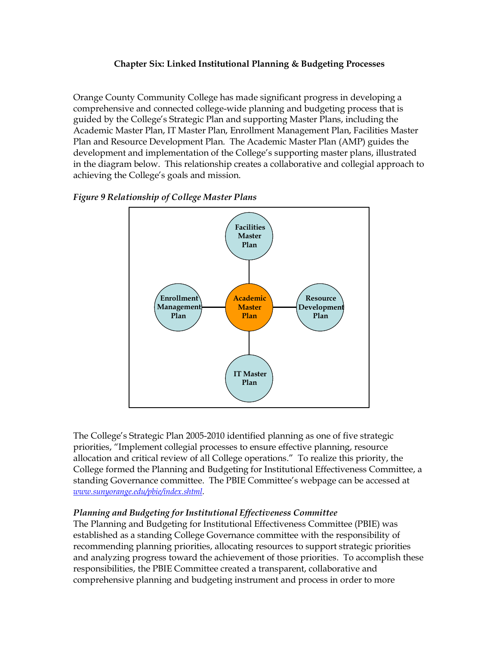### **Chapter Six: Linked Institutional Planning & Budgeting Processes**

Orange County Community College has made significant progress in developing a comprehensive and connected college-wide planning and budgeting process that is guided by the College's Strategic Plan and supporting Master Plans, including the Academic Master Plan, IT Master Plan, Enrollment Management Plan, Facilities Master Plan and Resource Development Plan. The Academic Master Plan (AMP) guides the development and implementation of the College's supporting master plans, illustrated in the diagram below. This relationship creates a collaborative and collegial approach to achieving the College's goals and mission.



*Figure 9 Relationship of College Master Plans*

The College's Strategic Plan 2005-2010 identified planning as one of five strategic priorities, "Implement collegial processes to ensure effective planning, resource allocation and critical review of all College operations." To realize this priority, the College formed the Planning and Budgeting for Institutional Effectiveness Committee, a standing Governance committee. The PBIE Committee's webpage can be accessed at *www.sunyorange.edu/pbie/index.shtml*.

### *Planning and Budgeting for Institutional Effectiveness Committee*

The Planning and Budgeting for Institutional Effectiveness Committee (PBIE) was established as a standing College Governance committee with the responsibility of recommending planning priorities, allocating resources to support strategic priorities and analyzing progress toward the achievement of those priorities. To accomplish these responsibilities, the PBIE Committee created a transparent, collaborative and comprehensive planning and budgeting instrument and process in order to more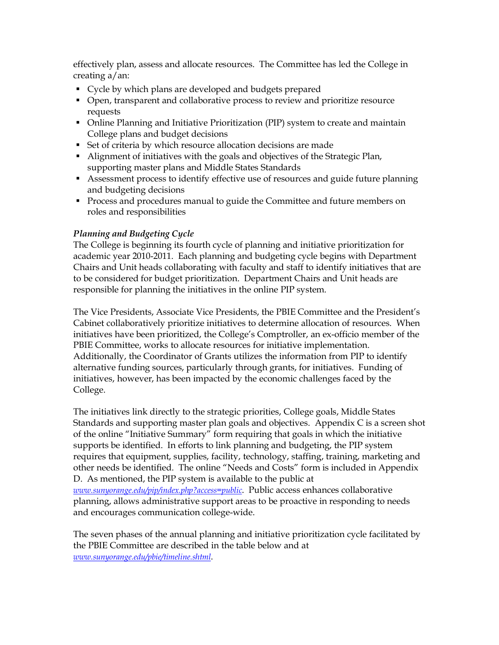effectively plan, assess and allocate resources. The Committee has led the College in creating a/an:

- Cycle by which plans are developed and budgets prepared
- Open, transparent and collaborative process to review and prioritize resource requests
- Online Planning and Initiative Prioritization (PIP) system to create and maintain College plans and budget decisions
- **Set of criteria by which resource allocation decisions are made**
- Alignment of initiatives with the goals and objectives of the Strategic Plan, supporting master plans and Middle States Standards
- Assessment process to identify effective use of resources and guide future planning and budgeting decisions
- Process and procedures manual to guide the Committee and future members on roles and responsibilities

## *Planning and Budgeting Cycle*

The College is beginning its fourth cycle of planning and initiative prioritization for academic year 2010-2011. Each planning and budgeting cycle begins with Department Chairs and Unit heads collaborating with faculty and staff to identify initiatives that are to be considered for budget prioritization. Department Chairs and Unit heads are responsible for planning the initiatives in the online PIP system.

The Vice Presidents, Associate Vice Presidents, the PBIE Committee and the President's Cabinet collaboratively prioritize initiatives to determine allocation of resources. When initiatives have been prioritized, the College's Comptroller, an ex-officio member of the PBIE Committee, works to allocate resources for initiative implementation. Additionally, the Coordinator of Grants utilizes the information from PIP to identify alternative funding sources, particularly through grants, for initiatives. Funding of initiatives, however, has been impacted by the economic challenges faced by the College.

The initiatives link directly to the strategic priorities, College goals, Middle States Standards and supporting master plan goals and objectives. Appendix C is a screen shot of the online "Initiative Summary" form requiring that goals in which the initiative supports be identified. In efforts to link planning and budgeting, the PIP system requires that equipment, supplies, facility, technology, staffing, training, marketing and other needs be identified. The online "Needs and Costs" form is included in Appendix D. As mentioned, the PIP system is available to the public at *www.sunyorange.edu/pip/index.php?access=public*. Public access enhances collaborative planning, allows administrative support areas to be proactive in responding to needs and encourages communication college-wide.

The seven phases of the annual planning and initiative prioritization cycle facilitated by the PBIE Committee are described in the table below and at *www.sunyorange.edu/pbie/timeline.shtml*.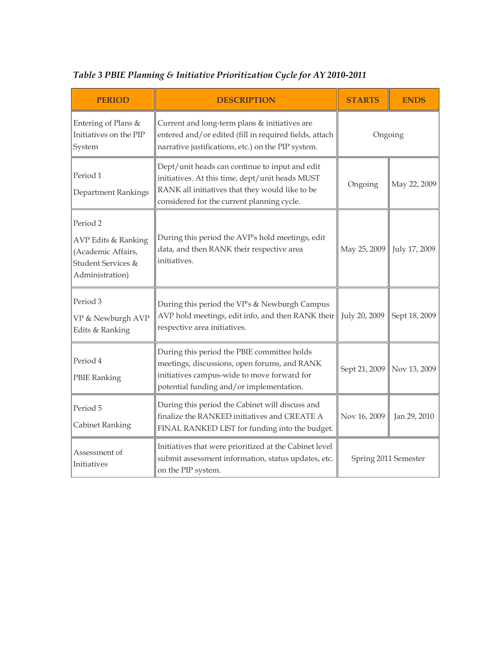| <b>PERIOD</b>                                                                                             | <b>DESCRIPTION</b>                                                                                                                                                                                 | <b>STARTS</b>              | <b>ENDS</b>   |
|-----------------------------------------------------------------------------------------------------------|----------------------------------------------------------------------------------------------------------------------------------------------------------------------------------------------------|----------------------------|---------------|
| Entering of Plans &<br>Initiatives on the PIP<br>System                                                   | Current and long-term plans & initiatives are<br>entered and/or edited (fill in required fields, attach<br>narrative justifications, etc.) on the PIP system.                                      | Ongoing                    |               |
| Period <sub>1</sub><br>Department Rankings                                                                | Dept/unit heads can continue to input and edit<br>initiatives. At this time, dept/unit heads MUST<br>RANK all initiatives that they would like to be<br>considered for the current planning cycle. | Ongoing                    | May 22, 2009  |
| Period <sub>2</sub><br>AVP Edits & Ranking<br>(Academic Affairs,<br>Student Services &<br>Administration) | During this period the AVP's hold meetings, edit<br>data, and then RANK their respective area<br>initiatives.                                                                                      | May 25, 2009 July 17, 2009 |               |
| Period <sub>3</sub><br>VP & Newburgh AVP<br>Edits & Ranking                                               | During this period the VP's & Newburgh Campus<br>AVP hold meetings, edit info, and then RANK their   July 20, 2009<br>respective area initiatives.                                                 |                            | Sept 18, 2009 |
| Period 4<br><b>PBIE Ranking</b>                                                                           | During this period the PBIE committee holds<br>meetings, discussions, open forums, and RANK<br>initiatives campus-wide to move forward for<br>potential funding and/or implementation.             | Sept 21, 2009              | Nov 13, 2009  |
| Period 5<br><b>Cabinet Ranking</b>                                                                        | During this period the Cabinet will discuss and<br>finalize the RANKED initiatives and CREATE A<br>FINAL RANKED LIST for funding into the budget.                                                  | Nov 16, 2009               | Jan 29, 2010  |
| Assessment of<br>Initiatives                                                                              | Initiatives that were prioritized at the Cabinet level<br>submit assessment information, status updates, etc.<br>on the PIP system.                                                                | Spring 2011 Semester       |               |

# *Table 3 PBIE Planning & Initiative Prioritization Cycle for AY 20102011*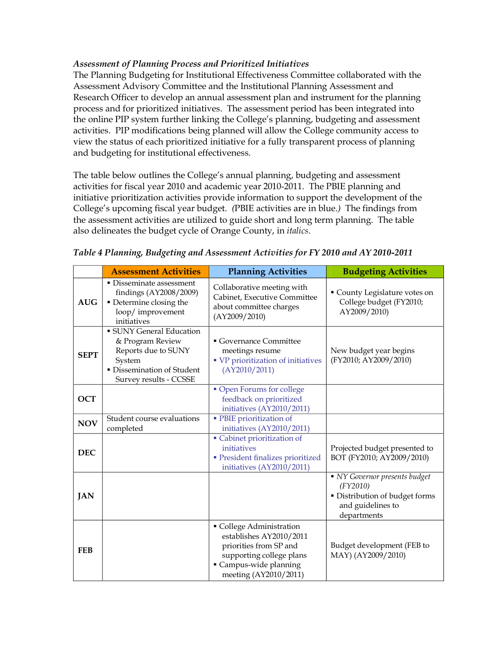### *Assessment of Planning Process and Prioritized Initiatives*

The Planning Budgeting for Institutional Effectiveness Committee collaborated with the Assessment Advisory Committee and the Institutional Planning Assessment and Research Officer to develop an annual assessment plan and instrument for the planning process and for prioritized initiatives. The assessment period has been integrated into the online PIP system further linking the College's planning, budgeting and assessment activities. PIP modifications being planned will allow the College community access to view the status of each prioritized initiative for a fully transparent process of planning and budgeting for institutional effectiveness.

The table below outlines the College's annual planning, budgeting and assessment activities for fiscal year 2010 and academic year 2010-2011. The PBIE planning and initiative prioritization activities provide information to support the development of the College's upcoming fiscal year budget. *(*PBIE activities are in blue*.)* The findings from the assessment activities are utilized to guide short and long term planning. The table also delineates the budget cycle of Orange County, in *italics*.

|             | <b>Assessment Activities</b>                                                                                                               | <b>Planning Activities</b>                                                                                                                               | <b>Budgeting Activities</b>                                                                                     |
|-------------|--------------------------------------------------------------------------------------------------------------------------------------------|----------------------------------------------------------------------------------------------------------------------------------------------------------|-----------------------------------------------------------------------------------------------------------------|
| <b>AUG</b>  | · Disseminate assessment<br>findings (AY2008/2009)<br>• Determine closing the<br>loop/improvement<br>initiatives                           | Collaborative meeting with<br>Cabinet, Executive Committee<br>about committee charges<br>(AY2009/2010)                                                   | " County Legislature votes on<br>College budget (FY2010;<br>AY2009/2010)                                        |
| <b>SEPT</b> | <b>SUNY General Education</b><br>& Program Review<br>Reports due to SUNY<br>System<br>· Dissemination of Student<br>Survey results - CCSSE | • Governance Committee<br>meetings resume<br>• VP prioritization of initiatives<br>(AY2010/2011)                                                         | New budget year begins<br>(FY2010; AY2009/2010)                                                                 |
| <b>OCT</b>  |                                                                                                                                            | • Open Forums for college<br>feedback on prioritized<br>initiatives (AY2010/2011)                                                                        |                                                                                                                 |
| <b>NOV</b>  | Student course evaluations<br>completed                                                                                                    | · PBIE prioritization of<br>initiatives (AY2010/2011)                                                                                                    |                                                                                                                 |
| <b>DEC</b>  |                                                                                                                                            | Cabinet prioritization of<br>initiatives<br>• President finalizes prioritized<br>initiatives (AY2010/2011)                                               | Projected budget presented to<br>BOT (FY2010; AY2009/2010)                                                      |
| <b>JAN</b>  |                                                                                                                                            |                                                                                                                                                          | • NY Governor presents budget<br>(FY2010)<br>· Distribution of budget forms<br>and guidelines to<br>departments |
| <b>FEB</b>  |                                                                                                                                            | College Administration<br>establishes AY2010/2011<br>priorities from SP and<br>supporting college plans<br>Campus-wide planning<br>meeting (AY2010/2011) | Budget development (FEB to<br>MAY) (AY2009/2010)                                                                |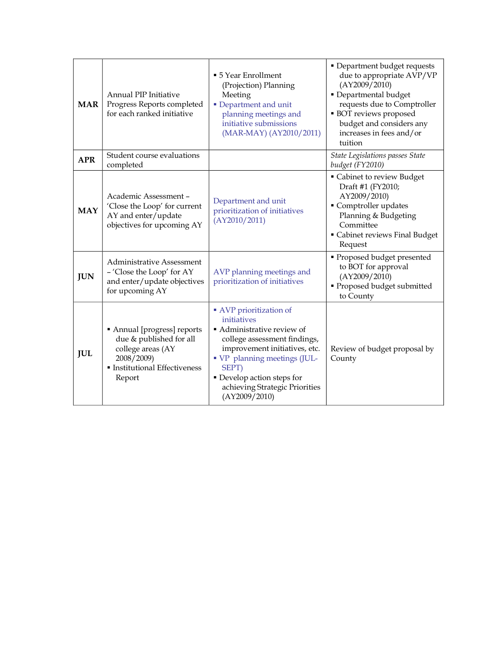| <b>MAR</b> | Annual PIP Initiative<br>Progress Reports completed<br>for each ranked initiative                                                  | • 5 Year Enrollment<br>(Projection) Planning<br>Meeting<br>• Department and unit<br>planning meetings and<br>initiative submissions<br>(MAR-MAY) (AY2010/2011)                                                                                                  | • Department budget requests<br>due to appropriate AVP/VP<br>(AY2009/2010)<br>· Departmental budget<br>requests due to Comptroller<br>• BOT reviews proposed<br>budget and considers any<br>increases in fees and/or<br>tuition |
|------------|------------------------------------------------------------------------------------------------------------------------------------|-----------------------------------------------------------------------------------------------------------------------------------------------------------------------------------------------------------------------------------------------------------------|---------------------------------------------------------------------------------------------------------------------------------------------------------------------------------------------------------------------------------|
| <b>APR</b> | Student course evaluations<br>completed                                                                                            |                                                                                                                                                                                                                                                                 | State Legislations passes State<br>budget (FY2010)                                                                                                                                                                              |
| <b>MAY</b> | Academic Assessment -<br>'Close the Loop' for current<br>AY and enter/update<br>objectives for upcoming AY                         | Department and unit<br>prioritization of initiatives<br>(AY2010/2011)                                                                                                                                                                                           | • Cabinet to review Budget<br>Draft #1 (FY2010;<br>AY2009/2010)<br>Comptroller updates<br>Planning & Budgeting<br>Committee<br>• Cabinet reviews Final Budget<br>Request                                                        |
| <b>JUN</b> | Administrative Assessment<br>- 'Close the Loop' for AY<br>and enter/update objectives<br>for upcoming AY                           | AVP planning meetings and<br>prioritization of initiatives                                                                                                                                                                                                      | • Proposed budget presented<br>to BOT for approval<br>(AY2009/2010)<br>· Proposed budget submitted<br>to County                                                                                                                 |
| JUL        | Annual [progress] reports<br>due & published for all<br>college areas (AY<br>2008/2009)<br>· Institutional Effectiveness<br>Report | • AVP prioritization of<br>initiatives<br>• Administrative review of<br>college assessment findings,<br>improvement initiatives, etc.<br>• VP planning meetings (JUL-<br>SEPT)<br>• Develop action steps for<br>achieving Strategic Priorities<br>(AY2009/2010) | Review of budget proposal by<br>County                                                                                                                                                                                          |